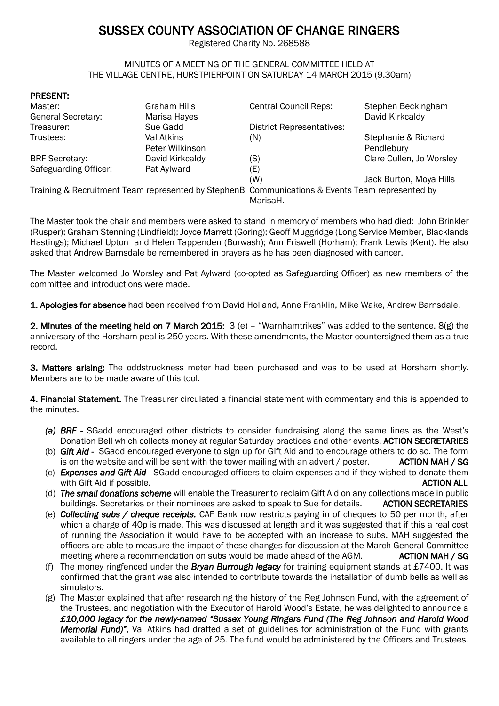# SUSSEX COUNTY ASSOCIATION OF CHANGE RINGERS

Registered Charity No. 268588

#### MINUTES OF A MEETING OF THE GENERAL COMMITTEE HELD AT THE VILLAGE CENTRE, HURSTPIERPOINT ON SATURDAY 14 MARCH 2015 (9.30am)

#### PRESENT:

| Master:                                                                                         | <b>Graham Hills</b> | <b>Central Council Reps:</b>     | Stephen Beckingham       |
|-------------------------------------------------------------------------------------------------|---------------------|----------------------------------|--------------------------|
| <b>General Secretary:</b>                                                                       | Marisa Hayes        |                                  | David Kirkcaldy          |
| Treasurer:                                                                                      | Sue Gadd            | <b>District Representatives:</b> |                          |
| Trustees:                                                                                       | Val Atkins          | (N)                              | Stephanie & Richard      |
|                                                                                                 | Peter Wilkinson     |                                  | Pendlebury               |
| <b>BRF</b> Secretary:                                                                           | David Kirkcaldy     | (S)                              | Clare Cullen, Jo Worsley |
| Safeguarding Officer:                                                                           | Pat Aylward         | (E)                              |                          |
|                                                                                                 |                     | (W)                              | Jack Burton, Moya Hills  |
| Training & Recruitment Team represented by StephenB Communications & Events Team represented by |                     |                                  |                          |
|                                                                                                 |                     | MarisaH.                         |                          |

The Master took the chair and members were asked to stand in memory of members who had died: John Brinkler (Rusper); Graham Stenning (Lindfield); Joyce Marrett (Goring); Geoff Muggridge (Long Service Member, Blacklands Hastings); Michael Upton and Helen Tappenden (Burwash); Ann Friswell (Horham); Frank Lewis (Kent). He also asked that Andrew Barnsdale be remembered in prayers as he has been diagnosed with cancer.

The Master welcomed Jo Worsley and Pat Aylward (co-opted as Safeguarding Officer) as new members of the committee and introductions were made.

1. Apologies for absence had been received from David Holland, Anne Franklin, Mike Wake, Andrew Barnsdale.

2. Minutes of the meeting held on 7 March 2015: 3 (e) – "Warnhamtrikes" was added to the sentence. 8(g) the anniversary of the Horsham peal is 250 years. With these amendments, the Master countersigned them as a true record.

3. Matters arising: The oddstruckness meter had been purchased and was to be used at Horsham shortly. Members are to be made aware of this tool.

4. Financial Statement. The Treasurer circulated a financial statement with commentary and this is appended to the minutes.

- *(a) BRF* SGadd encouraged other districts to consider fundraising along the same lines as the West's Donation Bell which collects money at regular Saturday practices and other events. ACTION SECRETARIES
- (b) *Gift Aid -* SGadd encouraged everyone to sign up for Gift Aid and to encourage others to do so. The form is on the website and will be sent with the tower mailing with an advert  $/$  poster. ACTION MAH  $/$  SG
- (c) *Expenses and Gift Aid* SGadd encouraged officers to claim expenses and if they wished to donate them with Gift Aid if possible. Action of the contract of the contract of the contract of the contract of the contract of the contract of the contract of the contract of the contract of the contract of the contract of the contr
- (d) *The small donations scheme* will enable the Treasurer to reclaim Gift Aid on any collections made in public buildings. Secretaries or their nominees are asked to speak to Sue for details. ACTION SECRETARIES
- (e) *Collecting subs / cheque receipts.* CAF Bank now restricts paying in of cheques to 50 per month, after which a charge of 40p is made. This was discussed at length and it was suggested that if this a real cost of running the Association it would have to be accepted with an increase to subs. MAH suggested the officers are able to measure the impact of these changes for discussion at the March General Committee meeting where a recommendation on subs would be made ahead of the  $AGM$ .  $\overline{A}$  ACTION MAH / SG
- (f) The money ringfenced under the *Bryan Burrough legacy* for training equipment stands at £7400. It was confirmed that the grant was also intended to contribute towards the installation of dumb bells as well as simulators.
- (g) The Master explained that after researching the history of the Reg Johnson Fund, with the agreement of the Trustees, and negotiation with the Executor of Harold Wood's Estate, he was delighted to announce a *£10,000 legacy for the newly-named "Sussex Young Ringers Fund (The Reg Johnson and Harold Wood Memorial Fund)".* Val Atkins had drafted a set of guidelines for administration of the Fund with grants available to all ringers under the age of 25. The fund would be administered by the Officers and Trustees.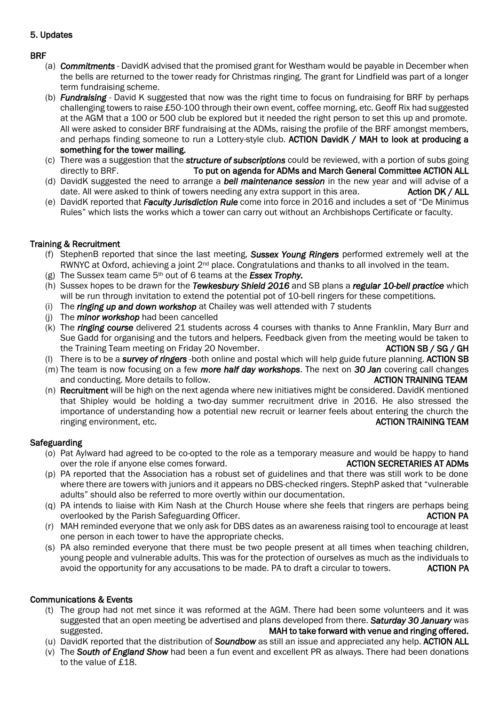# 5. Updates

# BRF

- (a) *Commitments*  DavidK advised that the promised grant for Westham would be payable in December when the bells are returned to the tower ready for Christmas ringing. The grant for Lindfield was part of a longer term fundraising scheme.
- (b) *Fundraising*  David K suggested that now was the right time to focus on fundraising for BRF by perhaps challenging towers to raise £50-100 through their own event, coffee morning, etc. Geoff Rix had suggested at the AGM that a 100 or 500 club be explored but it needed the right person to set this up and promote. All were asked to consider BRF fundraising at the ADMs, raising the profile of the BRF amongst members, and perhaps finding someone to run a Lottery-style club. ACTION DavidK / MAH to look at producing a something for the tower mailing.
- (c) There was a suggestion that the *structure of subscriptions* could be reviewed, with a portion of subs going directly to BRF. To put on agenda for ADMs and March General Committee ACTION ALL
- (d) DavidK suggested the need to arrange a *bell maintenance session* in the new year and will advise of a date. All were asked to think of towers needing any extra support in this area. Action DK / ALL
- (e) DavidK reported that *Faculty Jurisdiction Rule* come into force in 2016 and includes a set of "De Minimus Rules" which lists the works which a tower can carry out without an Archbishops Certificate or faculty.

# Training & Recruitment

- (f) StephenB reported that since the last meeting, *Sussex Young Ringers* performed extremely well at the RWNYC at Oxford, achieving a joint  $2^{nd}$  place. Congratulations and thanks to all involved in the team.
- (g) The Sussex team came 5th out of 6 teams at the *Essex Trophy.*
- (h) Sussex hopes to be drawn for the *Tewkesbury Shield 2016* and SB plans a *regular 10-bell practice* which will be run through invitation to extend the potential pot of 10-bell ringers for these competitions.
- (i) The *ringing up and down workshop* at Chailey was well attended with 7 students
- (j) The *minor workshop* had been cancelled
- (k) The *ringing course* delivered 21 students across 4 courses with thanks to Anne Franklin, Mary Burr and Sue Gadd for organising and the tutors and helpers. Feedback given from the meeting would be taken to the Training Team meeting on Friday 20 November. ACTION SB / SG / GH
- (l) There is to be a *survey of ringers* -both online and postal which will help guide future planning. ACTION SB
- (m) The team is now focusing on a few *more half day workshops*. The next on *30 Jan* covering call changes and conducting. More details to follow. ACTION TRAINING TEAM
- (n) Recruitment will be high on the next agenda where new initiatives might be considered. DavidK mentioned that Shipley would be holding a two-day summer recruitment drive in 2016. He also stressed the importance of understanding how a potential new recruit or learner feels about entering the church the ringing environment, etc. The contract of the contract of the contract of the contract of the contract of the contract of the contract of the contract of the contract of the contract of the contract of the contract of the

# **Safeguarding**

- (o) Pat Aylward had agreed to be co-opted to the role as a temporary measure and would be happy to hand over the role if anyone else comes forward. ACTION SECRETARIES AT ADMs
- (p) PA reported that the Association has a robust set of guidelines and that there was still work to be done where there are towers with juniors and it appears no DBS-checked ringers. StephP asked that "vulnerable adults" should also be referred to more overtly within our documentation.
- (q) PA intends to liaise with Kim Nash at the Church House where she feels that ringers are perhaps being overlooked by the Parish Safeguarding Officer. ACTION PA and the Control of the Parish Safeguarding Officer.
- (r) MAH reminded everyone that we only ask for DBS dates as an awareness raising tool to encourage at least one person in each tower to have the appropriate checks.
- (s) PA also reminded everyone that there must be two people present at all times when teaching children, young people and vulnerable adults. This was for the protection of ourselves as much as the individuals to avoid the opportunity for any accusations to be made. PA to draft a circular to towers. ACTION PA

# Communications & Events

- (t) The group had not met since it was reformed at the AGM. There had been some volunteers and it was suggested that an open meeting be advertised and plans developed from there. *Saturday 30 January* was suggested. MAH to take forward with venue and ringing offered.
- (u) DavidK reported that the distribution of *Soundbow* as still an issue and appreciated any help. ACTION ALL
- (v) The *South of England Show* had been a fun event and excellent PR as always. There had been donations to the value of £18.